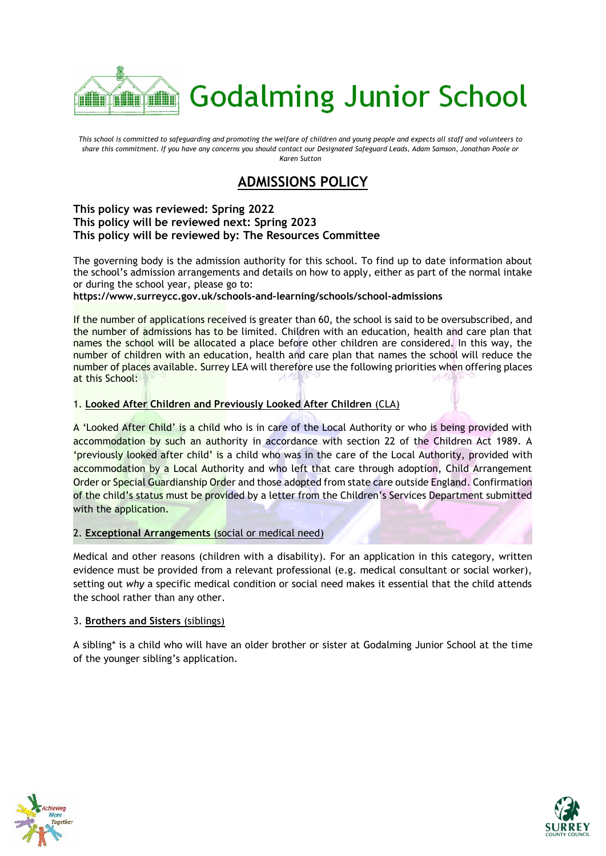

*This school is committed to safeguarding and promoting the welfare of children and young people and expects all staff and volunteers to share this commitment. If you have any concerns you should contact our Designated Safeguard Leads, Adam Samson, Jonathan Poole or Karen Sutton*

# **ADMISSIONS POLICY**

### **This policy was reviewed: Spring 2022 This policy will be reviewed next: Spring 2023 This policy will be reviewed by: The Resources Committee**

The governing body is the admission authority for this school. To find up to date information about the school's admission arrangements and details on how to apply, either as part of the normal intake or during the school year, please go to:

**https://www.surreycc.gov.uk/schools-and-learning/schools/school-admissions**

If the number of applications received is greater than 60, the school is said to be oversubscribed, and the number of admissions has to be limited. Children with an education, health and care plan that names the school will be allocated a place before other children are considered. In this way, the number of children with an education, health and care plan that names the school will reduce the number of places available. Surrey LEA will therefore use the following priorities when offering places at this School:

# 1. **Looked After Children and Previously Looked After Children** (CLA)

A 'Looked After Child' is a child who is in care of the Local Authority or who is being provided with accommodation by such an authority in accordance with section 22 of the Children Act 1989. A 'previously looked after child' is a child who was in the care of the Local Authority, provided with accommodation by a Local Authority and who left that care through adoption, Child Arrangement Order or Special Guardianship Order and those adopted from state care outside England. Confirmation of the child's status must be provided by a letter from the Children's Services Department submitted with the application.

# 2. **Exceptional Arrangements** (social or medical need)

Medical and other reasons (children with a disability). For an application in this category, written evidence must be provided from a relevant professional (e.g. medical consultant or social worker), setting out *why* a specific medical condition or social need makes it essential that the child attends the school rather than any other.

#### 3. **Brothers and Sisters** (siblings)

A sibling\* is a child who will have an older brother or sister at Godalming Junior School at the time of the younger sibling's application.



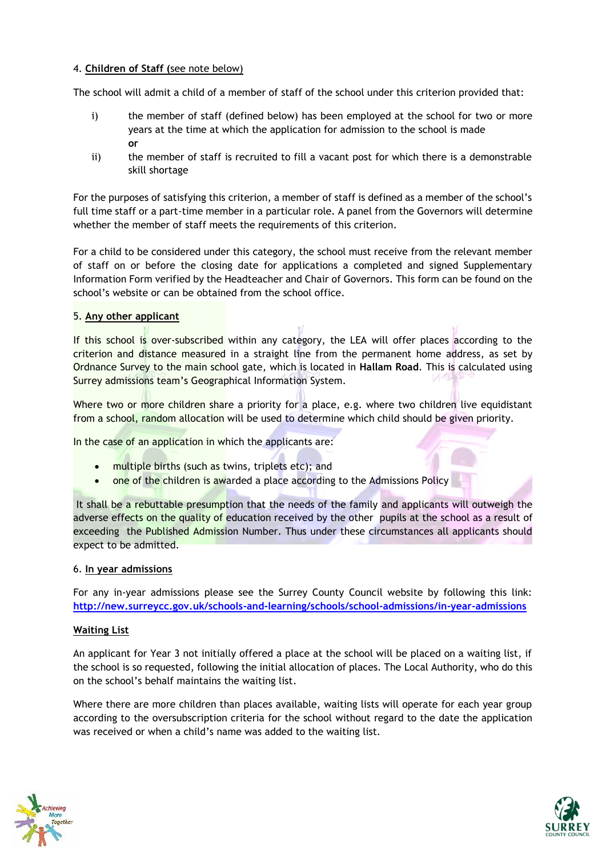# 4. **Children of Staff (**see note below)

The school will admit a child of a member of staff of the school under this criterion provided that:

- i) the member of staff (defined below) has been employed at the school for two or more years at the time at which the application for admission to the school is made **or**
- ii) the member of staff is recruited to fill a vacant post for which there is a demonstrable skill shortage

For the purposes of satisfying this criterion, a member of staff is defined as a member of the school's full time staff or a part-time member in a particular role. A panel from the Governors will determine whether the member of staff meets the requirements of this criterion.

For a child to be considered under this category, the school must receive from the relevant member of staff on or before the closing date for applications a completed and signed Supplementary Information Form verified by the Headteacher and Chair of Governors. This form can be found on the school's website or can be obtained from the school office.

## 5. **Any other applicant**

If this school is over-subscribed within any category, the LEA will offer places according to the criterion and distance measured in a straight line from the permanent home address, as set by Ordnance Survey to the main school gate, which is located in **Hallam Road**. This is calculated using Surrey admissions team's Geographical Information System.

Where two or more children share a priority for a place, e.g. where two children live equidistant from a school, random allocation will be used to determine which child should be given priority.

In the case of an application in which the applicants are:

- multiple births (such as twins, triplets etc); and
- one of the children is awarded a place according to the Admissions Policy

It shall be a rebuttable presumption that the needs of the family and applicants will outweigh the adverse effects on the quality of education received by the other pupils at the school as a result of exceeding the Published Admission Number. Thus under these circumstances all applicants should expect to be admitted.

#### 6. **In year admissions**

For any in-year admissions please see the Surrey County Council website by following this link: **<http://new.surreycc.gov.uk/schools-and-learning/schools/school-admissions/in-year-admissions>**

#### **Waiting List**

An applicant for Year 3 not initially offered a place at the school will be placed on a waiting list, if the school is so requested, following the initial allocation of places. The Local Authority, who do this on the school's behalf maintains the waiting list.

Where there are more children than places available, waiting lists will operate for each year group according to the oversubscription criteria for the school without regard to the date the application was received or when a child's name was added to the waiting list.